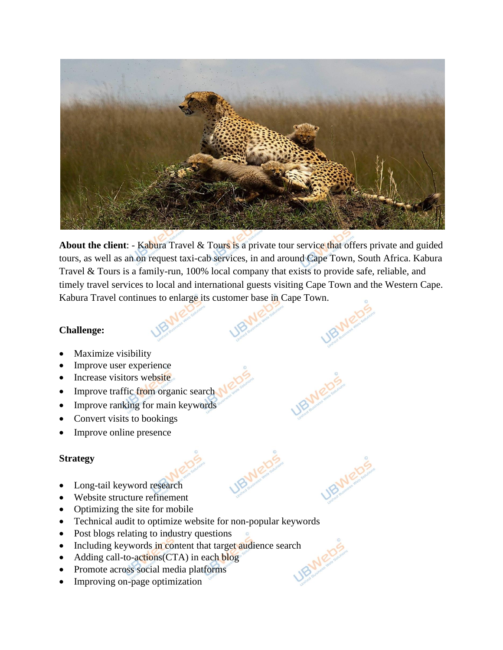

**About the client**: - Kabura Travel & Tours is a private tour service that offers private and guided tours, as well as an on request taxi-cab services, in and around Cape Town, South Africa. Kabura Travel & Tours is a family-run, 100% local company that exists to provide safe, reliable, and timely travel services to local and international guests visiting Cape Town and the Western Cape. Kabura Travel continues to enlarge its customer base in Cape Town.

#### **Challenge:**

- Maximize visibility
- Improve user experience
- Increase visitors website
- Improve traffic from organic search
- Improve ranking for main keywords
- Convert visits to bookings
- Improve online presence

## **Strategy**

- Long-tail keyword research
- Website structure refinement
- Optimizing the site for mobile
- Technical audit to optimize website for non-popular keywords
- Post blogs relating to industry questions
- Including keywords in content that target audience search<br>• Adding call-to-actions(CTA) in each blog<br>• Promote across social media plate
- Adding call-to-actions (CTA) in each blog
- Promote across social media platforms
- Improving on-page optimization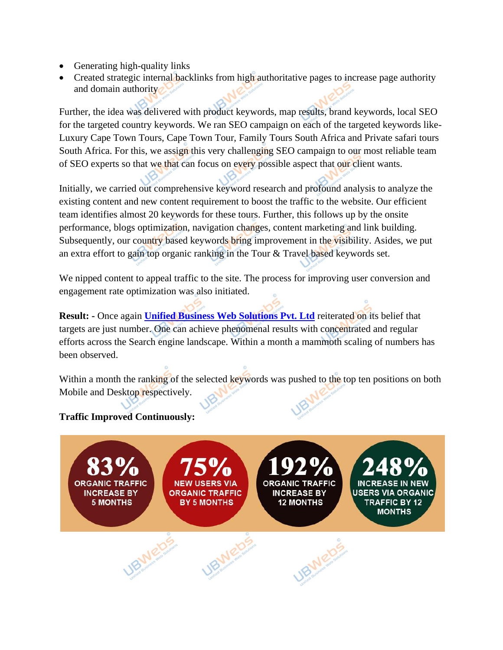- Generating high-quality links
- Created strategic internal backlinks from high authoritative pages to increase page authority and domain authority

Further, the idea was delivered with product keywords, map results, brand keywords, local SEO for the targeted country keywords. We ran SEO campaign on each of the targeted keywords like-Luxury Cape Town Tours, Cape Town Tour, Family Tours South Africa and Private safari tours South Africa. For this, we assign this very challenging SEO campaign to our most reliable team of SEO experts so that we that can focus on every possible aspect that our client wants.

Initially, we carried out comprehensive keyword research and profound analysis to analyze the existing content and new content requirement to boost the traffic to the website. Our efficient team identifies almost 20 keywords for these tours. Further, this follows up by the onsite performance, blogs optimization, navigation changes, content marketing and link building. Subsequently, our country based keywords bring improvement in the visibility. Asides, we put an extra effort to gain top organic ranking in the Tour & Travel based keywords set.

We nipped content to appeal traffic to the site. The process for improving user conversion and engagement rate optimization was also initiated.

**Result: -** Once again **[Unified Business Web Solutions Pvt. Ltd](https://www.ubwebs.com/)** reiterated on its belief that targets are just number. One can achieve phenomenal results with concentrated and regular efforts across the Search engine landscape. Within a month a mammoth scaling of numbers has been observed.

Within a month the ranking of the selected keywords was pushed to the top ten positions on both Mobile and Desktop respectively.

#### **Traffic Improved Continuously:**

**ORGANIC TRAFFIC INCREASE BY ORGANIC TRAFFIC INCREASE BY 5 MONTHS BY 5 MONTHS 12 MONTHS TRAFFIC BY 12** MONTHS **IRMEDS IBMEDS**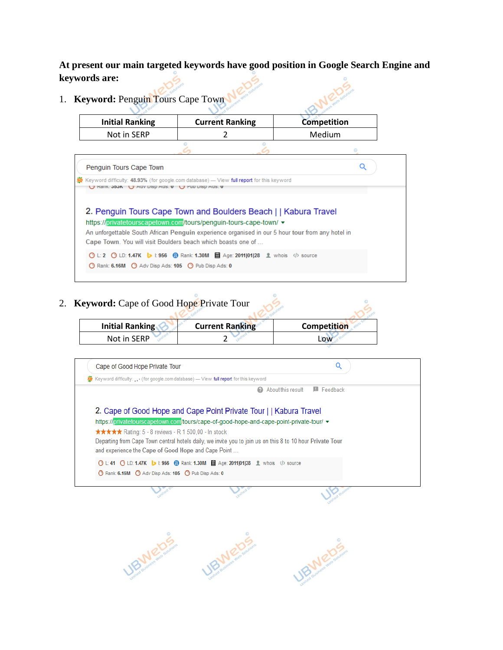**At present our main targeted keywords have good position in Google Search Engine and keywords are:**

1. **Keyword:** Penguin Tours Cape Town

| <b>Initial Ranking</b> | <b>Current Ranking</b> |  | <b>Competition</b> |  |
|------------------------|------------------------|--|--------------------|--|
| Not in SERP            |                        |  | Medium             |  |
|                        |                        |  |                    |  |

| Penguin Tours Cape Town                                                                                                                        |  |
|------------------------------------------------------------------------------------------------------------------------------------------------|--|
| Keyword difficulty: 48.93% (for google.com database) - View full report for this keyword<br>U Rallik. JOJN U Adv Disp Ads. U U Pub Disp Ads. U |  |
| 2. Penguin Tours Cape Town and Boulders Beach     Kabura Travel                                                                                |  |
| https://privatetourscapetown.com/tours/penguin-tours-cape-town/ $\star$                                                                        |  |
|                                                                                                                                                |  |
| An unforgettable South African Penguin experience organised in our 5 hour tour from any hotel in                                               |  |
| Cape Town. You will visit Boulders beach which boasts one of                                                                                   |  |
| O L: 2 O LD: 1.47K J 1:956 @ Rank: 1.30M mm Age: 2011 01 28 L whois  source                                                                    |  |

2. **Keyword:** Cape of Good Hope Private Tour

| <b>Keyword:</b> Cape of Good Hope Private Tour |                        |                    |  |
|------------------------------------------------|------------------------|--------------------|--|
| <b>Initial Ranking</b>                         | <b>Current Ranking</b> | <b>Competition</b> |  |
| Not in SERP                                    |                        | Low                |  |

| Cape of Good Hope Private Tour                                                                            |                                                    |
|-----------------------------------------------------------------------------------------------------------|----------------------------------------------------|
| <b>数</b> Keyword difficulty:  (for google.com database) — View full report for this keyword               |                                                    |
|                                                                                                           | <b>E</b> Feedback<br>About this result<br>$\omega$ |
| 2. Cape of Good Hope and Cape Point Private Tour     Kabura Travel                                        |                                                    |
| https://privatetourscapetown.com/tours/cape-of-good-hope-and-cape-point-private-tour/ v                   |                                                    |
| <b>★★★★★</b> Rating: 5 - 8 reviews - R 1 500,00 - In stock                                                |                                                    |
| Departing from Cape Town central hotels daily, we invite you to join us on this 8 to 10 hour Private Tour |                                                    |
| and experience the Cape of Good Hope and Cape Point                                                       |                                                    |
| O L:41 O LD:1.47K L:956 @ Rank:1.30M mm Age:2011 01 28 L:whois />source                                   |                                                    |
|                                                                                                           |                                                    |
| Rank: 6.16M C Adv Disp Ads: 105 C Pub Disp Ads: 0                                                         |                                                    |
|                                                                                                           |                                                    |

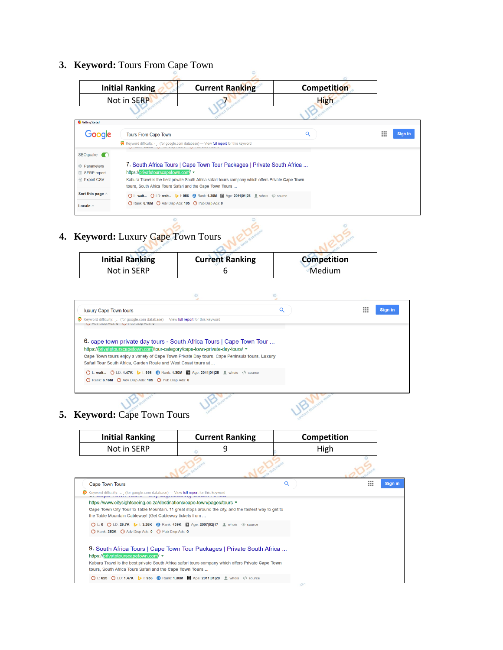# **3. Keyword:** Tours From Cape Town

|                         | <b>Initial Ranking</b>                                   | <b>Current Ranking</b>                                                                             | <b>Competition</b> |                          |
|-------------------------|----------------------------------------------------------|----------------------------------------------------------------------------------------------------|--------------------|--------------------------|
|                         | Not in SERP                                              |                                                                                                    | High               |                          |
|                         |                                                          |                                                                                                    |                    |                          |
| <b>Getting Started</b>  |                                                          |                                                                                                    |                    |                          |
| Google                  | <b>Tours From Cape Town</b>                              |                                                                                                    | Q                  | 1111<br>Sign in<br><br>m |
|                         |                                                          | Keyword difficulty: (for google.com database) — View full report for this keyword                  |                    |                          |
| SEOquake (C)            |                                                          |                                                                                                    |                    |                          |
| <b>C</b> : Parameters   |                                                          | 7. South Africa Tours   Cape Town Tour Packages   Private South Africa                             |                    |                          |
| SERP report             | https://privatetourscapetown.com/                        |                                                                                                    |                    |                          |
| $\exists$ Export CSV    | tours, South Africa Tours Safari and the Cape Town Tours | Kabura Travel is the best private South Africa safari tours company which offers Private Cape Town |                    |                          |
| Sort this page $\wedge$ |                                                          | 1: vait (2 L: wait   L: 956 (8 Rank: 1.30M   m Age: 2011   01   28 L: whois  source                |                    |                          |
| Locale $\wedge$         | Rank: 6.16M C Adv Disp Ads: 105 C Pub Disp Ads: 0        |                                                                                                    |                    |                          |

# **4. Keyword:** Luxury Cape Town Tours

| <b>Initial Ranking</b> | <b>Current Ranking</b> | <b>Competition</b> |
|------------------------|------------------------|--------------------|
| Not in SERP            |                        | Medium             |

| luxury Cape Town tours                                                                                                                                                                                                                                                                                                        | Q | 1111<br>Sign in<br>ш |
|-------------------------------------------------------------------------------------------------------------------------------------------------------------------------------------------------------------------------------------------------------------------------------------------------------------------------------|---|----------------------|
| Keyword difficulty: (for google.com database) — View full report for this keyword<br>U muy play mus. v U L L up play mus. v                                                                                                                                                                                                   |   |                      |
| 6. cape town private day tours - South Africa Tours   Cape Town Tour<br>https://privatetourscapetown.com/tour-category/cape-town-private-day-tours/ $\star$<br>Cape Town tours enjoy a variety of Cape Town Private Day tours, Cape Peninsula tours, Luxury<br>Safari Tour South Africa. Garden Route and West Coast tours at |   |                      |
| ◯ L: wait ◯ LD: 1.47K 3 I: 956 2 Rank: 1.30M I Age: 2011 01 28 L whois  source<br>Rank: 6.16M Adv Disp Ads: 105 O Pub Disp Ads: 0                                                                                                                                                                                             |   |                      |
|                                                                                                                                                                                                                                                                                                                               |   |                      |

# **5. Keyword:** Cape Town Tours

| <b>Initial Ranking</b> | <b>Current Ranking</b> | Competition |
|------------------------|------------------------|-------------|
| Not in SERP            |                        | High        |
|                        |                        |             |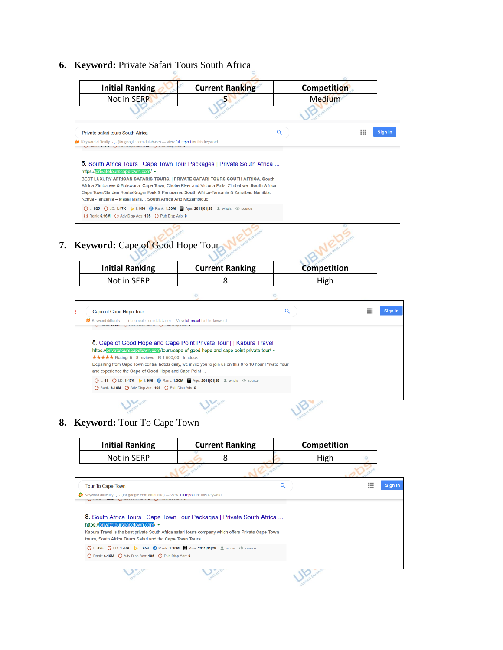## **6. Keyword:** Private Safari Tours South Africa



## **7. Keyword:** Cape of Good Hope Tour

| <b>Initial Ranking</b> | <b>Current Ranking</b> | <b>Competition</b> |
|------------------------|------------------------|--------------------|
| Not in SERP            |                        | High               |
|                        |                        |                    |

| Cape of Good Hope Tour                                                                                                                                                                                                                                                                                                                   |                                                                                  | ш | Sign in |
|------------------------------------------------------------------------------------------------------------------------------------------------------------------------------------------------------------------------------------------------------------------------------------------------------------------------------------------|----------------------------------------------------------------------------------|---|---------|
| $\frac{35}{20}$ Keyword difficulty: (for google.com database) — View full report for this keyword<br>L2 INGHIN, UUUT L2 AUV DISP AUS, U L2 I UD DISP AUS, U                                                                                                                                                                              |                                                                                  |   |         |
| 8. Cape of Good Hope and Cape Point Private Tour     Kabura Travel<br>https://privatetourscapetown.com/tours/cape-of-good-hope-and-cape-point-private-tour/ -<br><b>★★★★★</b> Rating: 5 - 8 reviews - R 1 500,00 - In stock<br>Departing from Cape Town central hotels daily, we invite you to join us on this 8 to 10 hour Private Tour |                                                                                  |   |         |
| and experience the Cape of Good Hope and Cape Point                                                                                                                                                                                                                                                                                      |                                                                                  |   |         |
|                                                                                                                                                                                                                                                                                                                                          | O L:41 O LD: 1.47K J I: 956 @ Rank: 1.30M III Age: 2011 01 28 L whois  /> source |   |         |

#### **8. Keyword:** Tour To Cape Town

| <b>Initial Ranking</b>                                                                                                                                                                                                                                                        | <b>Current Ranking</b> | Competition |                        |
|-------------------------------------------------------------------------------------------------------------------------------------------------------------------------------------------------------------------------------------------------------------------------------|------------------------|-------------|------------------------|
| Not in SERP                                                                                                                                                                                                                                                                   | 8                      | High        |                        |
|                                                                                                                                                                                                                                                                               |                        |             |                        |
| <b>Tour To Cape Town</b>                                                                                                                                                                                                                                                      |                        | O           | <br>Sign in<br>111<br> |
| <b>@</b> Keyword difficulty: (for google.com database) — View full report for this keyword<br>V INGHIN. T. VVIII V AVY DIOP AVO. V V I UD DIOP AVO. V                                                                                                                         |                        |             |                        |
| 8. South Africa Tours   Cape Town Tour Packages   Private South Africa<br>https://privatetourscapetown.com/<br>Kabura Travel is the best private South Africa safari tours company which offers Private Cape Town<br>tours, South Africa Tours Safari and the Cape Town Tours |                        |             |                        |
| ◯ L: 625 ◯ LD: 1.47K ▶ I: 956 ? Rank: 1.30M III Age: 2011 01 28 L whois  source<br>Rank: 6.16M Adv Disp Ads: 105 O Pub Disp Ads: 0                                                                                                                                            |                        |             |                        |
|                                                                                                                                                                                                                                                                               |                        |             |                        |